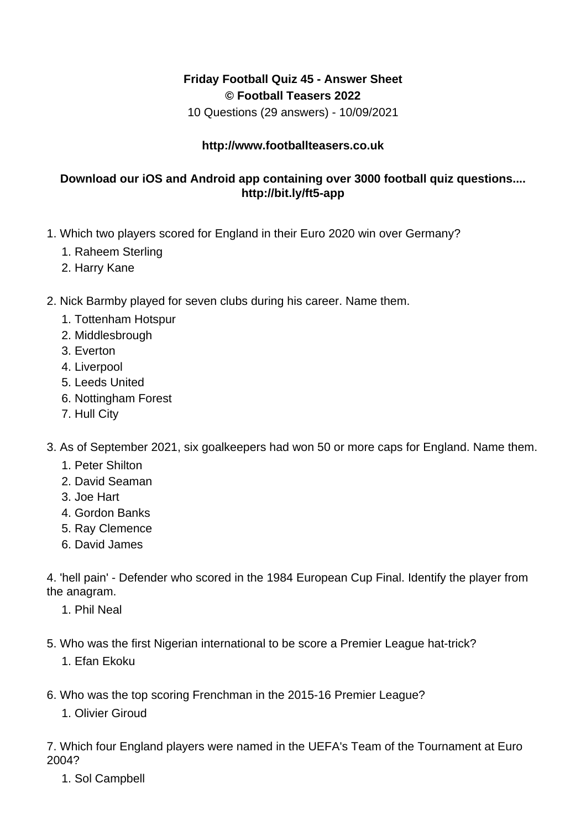## **Friday Football Quiz 45 - Answer Sheet © Football Teasers 2022**

10 Questions (29 answers) - 10/09/2021

## **http://www.footballteasers.co.uk**

## **Download our iOS and Android app containing over 3000 football quiz questions.... http://bit.ly/ft5-app**

- 1. Which two players scored for England in their Euro 2020 win over Germany?
	- 1. Raheem Sterling
	- 2. Harry Kane
- 2. Nick Barmby played for seven clubs during his career. Name them.
	- 1. Tottenham Hotspur
	- 2. Middlesbrough
	- 3. Everton
	- 4. Liverpool
	- 5. Leeds United
	- 6. Nottingham Forest
	- 7. Hull City
- 3. As of September 2021, six goalkeepers had won 50 or more caps for England. Name them.
	- 1. Peter Shilton
	- 2. David Seaman
	- 3. Joe Hart
	- 4. Gordon Banks
	- 5. Ray Clemence
	- 6. David James

4. 'hell pain' - Defender who scored in the 1984 European Cup Final. Identify the player from the anagram.

- 1. Phil Neal
- 5. Who was the first Nigerian international to be score a Premier League hat-trick?
	- 1. Efan Ekoku
- 6. Who was the top scoring Frenchman in the 2015-16 Premier League?
	- 1. Olivier Giroud

7. Which four England players were named in the UEFA's Team of the Tournament at Euro 2004?

1. Sol Campbell